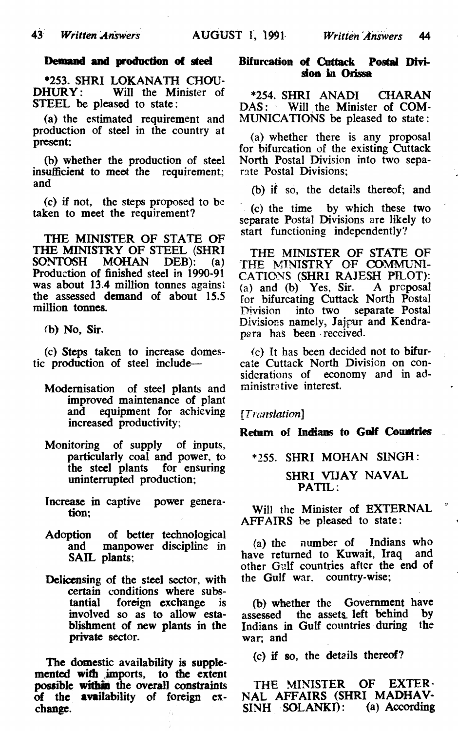#### **Demand and production of steel**

\*253. SHRI LOKANATH CHOU-Will the Minister of STEEL be pleased to state:

(a) the estimated requirement and production of steel in the country at present;

(b) whether the production of steel insufficient to meet the requirement; and

(c) if not, the steps proposed to be taken to meet the requirement?

THE MINISTER OF STATE OF THE MINISTRY OF STEEL (SHRI<br>SONTOSH MOHAN DEB): (a) SONTOSH MOHAN DEB): (a) Production of finished steel in 1990-91 was about 13.4 million tonnes against the assessed demand of about 15.5 million tonnes.

<b) No, Sir.

(c) Steps taken to increase domestic production of steel include—

- Modernisation of steel plants and improved maintenance of plant and equipment for achieving increased productivity;
- Monitoring of supply of inputs, particularly coal and power, to the steel plants for ensuring uninterrupted production;
- Increase in captive power generation;
- Adoption of better technological and manpower discipline in SAIL plants;
- Delicensing of the steel sector, with certain conditions where subs-<br>tantial foreign exchange is foreign exchange involved so as to allow establishment of new plants in the private sector.

The domestic availability is supplemented with imports, to the extent possible **within** the overall constraints of the availability of foreign exchange.

### **Bifurcation of Cuttack Postal Division in Orissa**

\*254 SHRI ANADI CHARAN DAS: Will the Minister of COM-MUNICATIONS be pleased to state:

(a) whether there is any proposal for bifurcation of the existing Cuttack North Postal Division into two separate Postal Divisions;

(b) if so, the details thereof; and

(c) the time by which these two separate Postal Divisions are likely to start functioning independently?

THE MINISTER OF STATE OF THE MINISTRY OF COMMUNI-CATIONS (SHRI RAJESH PILOT): (a) and (b) Yes, Sir. A proposal for bifurcating Cuttack North Postal Division into two separate Postal Divisions namely, Jajpur and Kendrapara has been received.

(c) It has been decided not to bifurcate Cuttack North Division on considerations of economy and in administrative interest.

*[Translation]*

**Return of Indians to Golf Countries**

\*255. SHRI MOHAN SINGH:

SHRI VIJAY NAVAL PATIL.

Will the Minister of EXTERNAL AFFAIRS be pleased to state:

(a) the number of Indians who<br>ve returned to Kuwait. Iraq and have returned to Kuwait, Iraq other Gulf countries after the end of the Gulf war, country-wise;

(b) whether the Government have<br>sessed the assets left behind by assessed the assets left behind by<br>Indians in Gulf countries during the Indians in Gulf countries during war; and

(c) if so, the details thereof?

THE MINISTER OF EXTER-NAL AFFAIRS (SHRI MADHAV-<br>SINH SOLANKI): (a) According  $SINH$   $SOLANKI$ ):